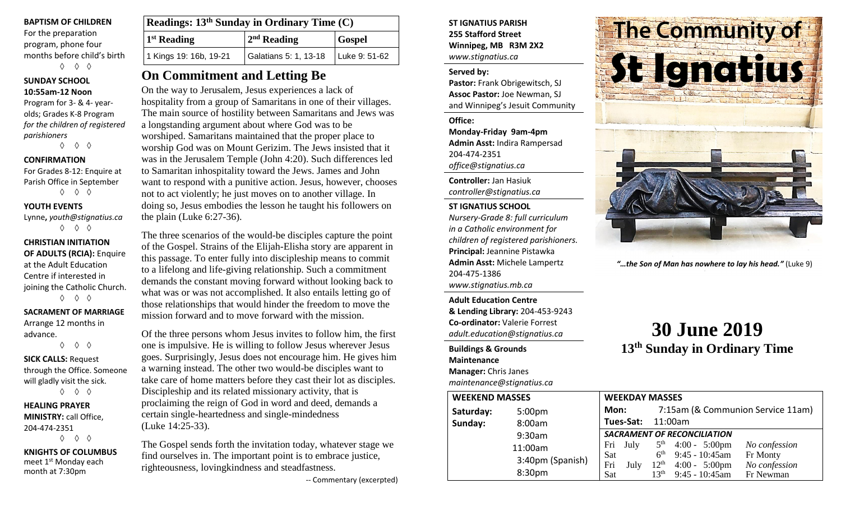## **BAPTISM OF CHILDREN**

For the preparation program, phone four months before child's birth ◊ ◊ ◊

# **SUNDAY SCHOOL 10:55am-12 Noon**

Program for 3- & 4- yearolds; Grades K-8 Program *for the children of registered parishioners*

◊ ◊ ◊

# **CONFIRMATION**

For Grades 8-12: Enquire at Parish Office in September ◊ ◊ ◊

# **YOUTH EVENTS**

Lynne**,** *youth@stignatius.ca* ◊ ◊ ◊

# **CHRISTIAN INITIATION OF ADULTS (RCIA):** Enquire at the Adult Education Centre if interested in joining the Catholic Church. ◊ ◊ ◊

# **SACRAMENT OF MARRIAGE** Arrange 12 months in

advance. ◊ ◊ ◊ **SICK CALLS:** Request through the Office. Someone will gladly visit the sick.

◊ ◊ ◊

### **HEALING PRAYER MINISTRY:** call Office, 204-474-2351 ◊ ◊ ◊

**KNIGHTS OF COLUMBUS** meet 1<sup>st</sup> Monday each month at 7:30pm

| Readings: 13 <sup>th</sup> Sunday in Ordinary Time (C) |                                       |               |
|--------------------------------------------------------|---------------------------------------|---------------|
| $1st$ Reading                                          | $2nd$ Reading                         | <b>Gospel</b> |
| 1 Kings 19: 16b, 19-21                                 | Galatians 5: 1, 13-18   Luke 9: 51-62 |               |

# **On Commitment and Letting Be**

On the way to Jerusalem, Jesus experiences a lack of hospitality from a group of Samaritans in one of their villages. The main source of hostility between Samaritans and Jews was a longstanding argument about where God was to be worshiped. Samaritans maintained that the proper place to worship God was on Mount Gerizim. The Jews insisted that it was in the Jerusalem Temple (John 4:20). Such differences led to Samaritan inhospitality toward the Jews. James and John want to respond with a punitive action. Jesus, however, chooses not to act violently; he just moves on to another village. In doing so, Jesus embodies the lesson he taught his followers on the plain (Luke 6:27-36).

The three scenarios of the would-be disciples capture the point of the Gospel. Strains of the Elijah-Elisha story are apparent in this passage. To enter fully into discipleship means to commit to a lifelong and life-giving relationship. Such a commitment demands the constant moving forward without looking back to what was or was not accomplished. It also entails letting go of those relationships that would hinder the freedom to move the mission forward and to move forward with the mission.

Of the three persons whom Jesus invites to follow him, the first one is impulsive. He is willing to follow Jesus wherever Jesus goes. Surprisingly, Jesus does not encourage him. He gives him a warning instead. The other two would-be disciples want to take care of home matters before they cast their lot as disciples. Discipleship and its related missionary activity, that is proclaiming the reign of God in word and deed, demands a certain single-heartedness and single-mindedness (Luke 14:25-33).

The Gospel sends forth the invitation today, whatever stage we find ourselves in. The important point is to embrace justice, righteousness, lovingkindness and steadfastness.

-- Commentary (excerpted)

# **ST IGNATIUS PARISH 255 Stafford Street Winnipeg, MB R3M 2X2** *www.stignatius.ca*

# **Served by:**

**Pastor:** Frank Obrigewitsch, SJ **Assoc Pastor:** Joe Newman, SJ and Winnipeg's Jesuit Community

**Office: Monday-Friday 9am-4pm Admin Asst:** Indira Rampersad 204-474-2351 *office@stignatius.ca*

**Controller:** Jan Hasiuk *controller@stignatius.ca*

# **ST IGNATIUS SCHOOL**

*Nursery-Grade 8: full curriculum in a Catholic environment for children of registered parishioners.* **Principal:** Jeannine Pistawka **Admin Asst:** Michele Lampertz 204-475-1386 *www.stignatius.mb.ca*

**Adult Education Centre & Lending Library:** 204-453-9243 **Co-ordinator:** Valerie Forrest *adult.education@stignatius.ca*

#### **Buildings & Grounds Maintenance**

**Manager:** Chris Janes

*maintenance@stignatius.ca*





*"…the Son of Man has nowhere to lay his head."* (Luke 9)

# **30 June 2019 13th Sunday in Ordinary Time**